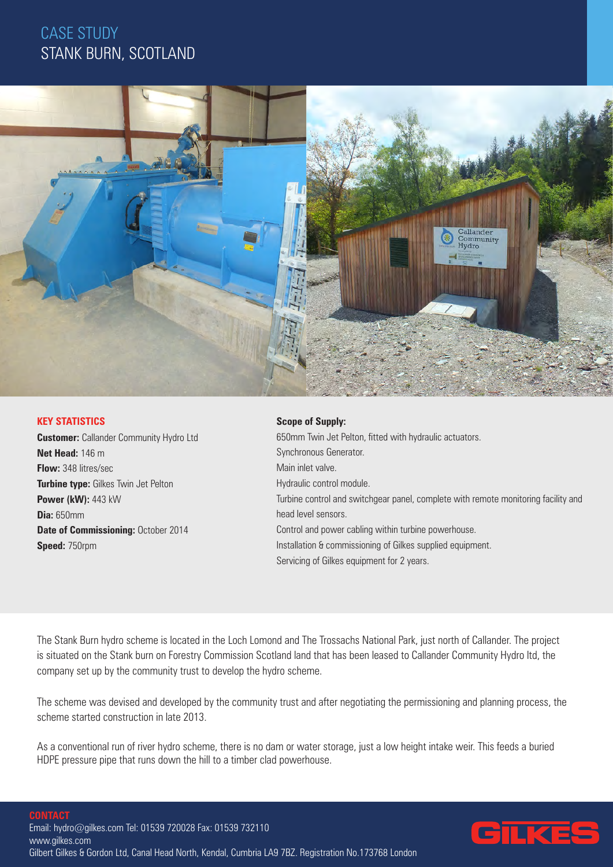# CASE STUDY STANK BURN, SCOTLAND



### **KEY STATISTICS**

**Customer:** Callander Community Hydro Ltd **Net Head:** 146 m **Flow:** 348 litres/sec **Turbine type:** Gilkes Twin Jet Pelton **Power (kW):** 443 kW **Dia:** 650mm **Date of Commissioning:** October 2014 **Speed:** 750rpm

#### **Scope of Supply:**

650mm Twin Jet Pelton, fitted with hydraulic actuators. Synchronous Generator. Main inlet valve. Hydraulic control module. Turbine control and switchgear panel, complete with remote monitoring facility and head level sensors. Control and power cabling within turbine powerhouse. Installation & commissioning of Gilkes supplied equipment. Servicing of Gilkes equipment for 2 years.

The Stank Burn hydro scheme is located in the Loch Lomond and The Trossachs National Park, just north of Callander. The project is situated on the Stank burn on Forestry Commission Scotland land that has been leased to Callander Community Hydro ltd, the company set up by the community trust to develop the hydro scheme.

The scheme was devised and developed by the community trust and after negotiating the permissioning and planning process, the scheme started construction in late 2013.

As a conventional run of river hydro scheme, there is no dam or water storage, just a low height intake weir. This feeds a buried HDPE pressure pipe that runs down the hill to a timber clad powerhouse.